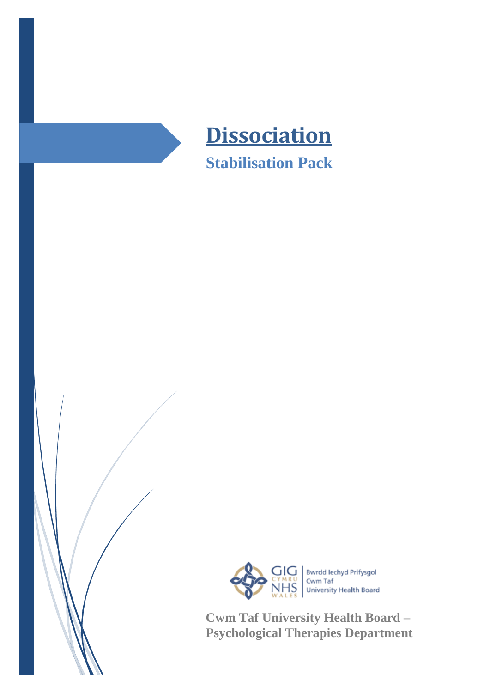



**Cwm Taf University Health Board – Psychological Therapies Department**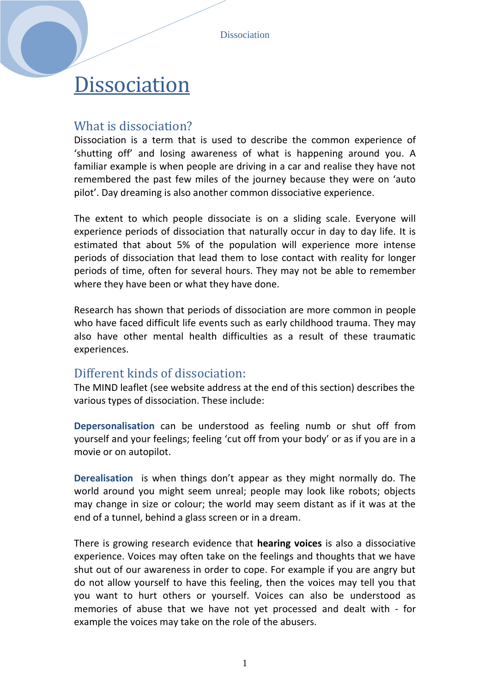Dissociation

# **Dissociation**

### What is dissociation?

Dissociation is a term that is used to describe the common experience of 'shutting off' and losing awareness of what is happening around you. A familiar example is when people are driving in a car and realise they have not remembered the past few miles of the journey because they were on 'auto pilot'. Day dreaming is also another common dissociative experience.

The extent to which people dissociate is on a sliding scale. Everyone will experience periods of dissociation that naturally occur in day to day life. It is estimated that about 5% of the population will experience more intense periods of dissociation that lead them to lose contact with reality for longer periods of time, often for several hours. They may not be able to remember where they have been or what they have done.

Research has shown that periods of dissociation are more common in people who have faced difficult life events such as early childhood trauma. They may also have other mental health difficulties as a result of these traumatic experiences.

#### Different kinds of dissociation:

The MIND leaflet (see website address at the end of this section) describes the various types of dissociation. These include:

**Depersonalisation** can be understood as feeling numb or shut off from yourself and your feelings; feeling 'cut off from your body' or as if you are in a movie or on autopilot.

**Derealisation** is when things don't appear as they might normally do. The world around you might seem unreal; people may look like robots; objects may change in size or colour; the world may seem distant as if it was at the end of a tunnel, behind a glass screen or in a dream.

There is growing research evidence that **hearing voices** is also a dissociative experience. Voices may often take on the feelings and thoughts that we have shut out of our awareness in order to cope. For example if you are angry but do not allow yourself to have this feeling, then the voices may tell you that you want to hurt others or yourself. Voices can also be understood as memories of abuse that we have not yet processed and dealt with - for example the voices may take on the role of the abusers.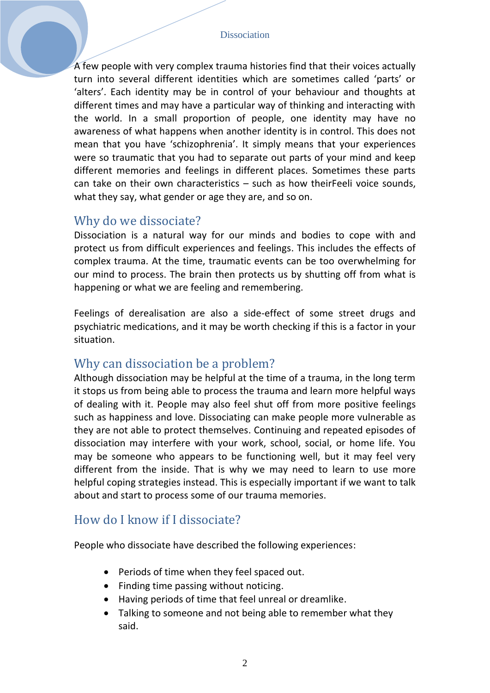A few people with very complex trauma histories find that their voices actually turn into several different identities which are sometimes called 'parts' or 'alters'. Each identity may be in control of your behaviour and thoughts at different times and may have a particular way of thinking and interacting with the world. In a small proportion of people, one identity may have no awareness of what happens when another identity is in control. This does not mean that you have 'schizophrenia'. It simply means that your experiences were so traumatic that you had to separate out parts of your mind and keep different memories and feelings in different places. Sometimes these parts can take on their own characteristics – such as how theirFeeli voice sounds, what they say, what gender or age they are, and so on.

#### Why do we dissociate?

Dissociation is a natural way for our minds and bodies to cope with and protect us from difficult experiences and feelings. This includes the effects of complex trauma. At the time, traumatic events can be too overwhelming for our mind to process. The brain then protects us by shutting off from what is happening or what we are feeling and remembering.

Feelings of derealisation are also a side-effect of some street drugs and psychiatric medications, and it may be worth checking if this is a factor in your situation.

#### Why can dissociation be a problem?

Although dissociation may be helpful at the time of a trauma, in the long term it stops us from being able to process the trauma and learn more helpful ways of dealing with it. People may also feel shut off from more positive feelings such as happiness and love. Dissociating can make people more vulnerable as they are not able to protect themselves. Continuing and repeated episodes of dissociation may interfere with your work, school, social, or home life. You may be someone who appears to be functioning well, but it may feel very different from the inside. That is why we may need to learn to use more helpful coping strategies instead. This is especially important if we want to talk about and start to process some of our trauma memories.

#### How do I know if I dissociate?

People who dissociate have described the following experiences:

- Periods of time when they feel spaced out.
- Finding time passing without noticing.
- Having periods of time that feel unreal or dreamlike.
- Talking to someone and not being able to remember what they said.